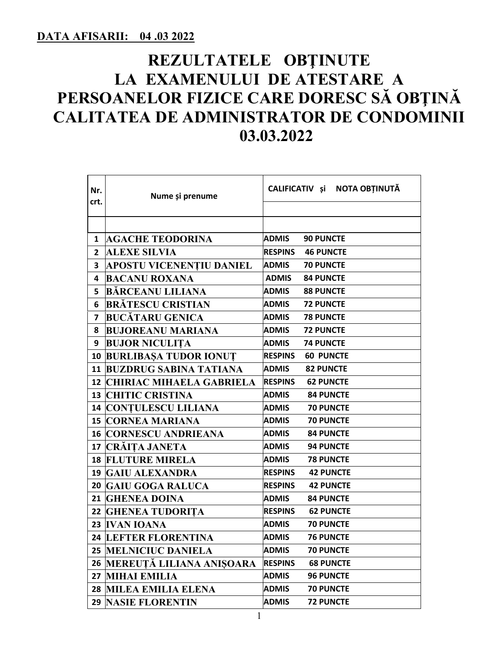## **REZULTATELE OBŢINUTE LA EXAMENULUI DE ATESTARE A PERSOANELOR FIZICE CARE DORESC SĂ OBŢINĂ CALITATEA DE ADMINISTRATOR DE CONDOMINII 03.03.2022**

| Nr.<br>crt.  | Nume și prenume                    | CALIFICATIV și NOTA OBȚINUTĂ       |  |  |
|--------------|------------------------------------|------------------------------------|--|--|
|              |                                    |                                    |  |  |
|              |                                    |                                    |  |  |
| $\mathbf{1}$ | <b>AGACHE TEODORINA</b>            | <b>ADMIS</b><br><b>90 PUNCTE</b>   |  |  |
| $\mathbf{2}$ | <b>ALEXE SILVIA</b>                | <b>RESPINS</b><br><b>46 PUNCTE</b> |  |  |
| 3            | <b>APOSTU VICENENTIU DANIEL</b>    | <b>ADMIS</b><br><b>70 PUNCTE</b>   |  |  |
| 4            | <b>BACANU ROXANA</b>               | <b>ADMIS</b><br><b>84 PUNCTE</b>   |  |  |
| 5            | <b>BĂRCEANU LILIANA</b>            | <b>ADMIS</b><br><b>88 PUNCTE</b>   |  |  |
| 6            | <b>BRĂTESCU CRISTIAN</b>           | <b>ADMIS</b><br><b>72 PUNCTE</b>   |  |  |
| 7            | <b>BUCĂTARU GENICA</b>             | <b>ADMIS</b><br><b>78 PUNCTE</b>   |  |  |
| 8            | <b>BUJOREANU MARIANA</b>           | <b>72 PUNCTE</b><br>ADMIS          |  |  |
| 9            | <b>BUJOR NICULITA</b>              | <b>ADMIS</b><br><b>74 PUNCTE</b>   |  |  |
|              | <b>10 BURLIBASA TUDOR IONUT</b>    | <b>RESPINS</b><br><b>60 PUNCTE</b> |  |  |
|              | <b>11 BUZDRUG SABINA TATIANA</b>   | <b>82 PUNCTE</b><br><b>ADMIS</b>   |  |  |
|              | <b>12 CHIRIAC MIHAELA GABRIELA</b> | <b>RESPINS</b><br><b>62 PUNCTE</b> |  |  |
|              | <b>13 CHITIC CRISTINA</b>          | <b>ADMIS</b><br><b>84 PUNCTE</b>   |  |  |
|              | <b>14 CONTULESCU LILIANA</b>       | <b>ADMIS</b><br><b>70 PUNCTE</b>   |  |  |
|              | <b>15 CORNEA MARIANA</b>           | <b>70 PUNCTE</b><br>ADMIS          |  |  |
|              | <b>16 CORNESCU ANDRIEANA</b>       | <b>ADMIS</b><br><b>84 PUNCTE</b>   |  |  |
|              | <b>17 CRÁITA JANETA</b>            | <b>ADMIS</b><br><b>94 PUNCTE</b>   |  |  |
|              | <b>18 FLUTURE MIRELA</b>           | <b>ADMIS</b><br><b>78 PUNCTE</b>   |  |  |
|              | <b>19 GAIU ALEXANDRA</b>           | <b>RESPINS</b><br><b>42 PUNCTE</b> |  |  |
|              | 20 GAIU GOGA RALUCA                | <b>RESPINS</b><br><b>42 PUNCTE</b> |  |  |
|              | 21 GHENEA DOINA                    | <b>ADMIS</b><br><b>84 PUNCTE</b>   |  |  |
|              | 22 GHENEA TUDORITA                 | <b>62 PUNCTE</b><br><b>RESPINS</b> |  |  |
|              | 23 IVAN IOANA                      | <b>70 PUNCTE</b><br><b>ADMIS</b>   |  |  |
|              | <b>24 LEFTER FLORENTINA</b>        | <b>76 PUNCTE</b><br><b>ADMIS</b>   |  |  |
|              | <b>25 MELNICIUC DANIELA</b>        | <b>ADMIS</b><br><b>70 PUNCTE</b>   |  |  |
|              | 26 MEREUTĂ LILIANA ANISOARA        | <b>RESPINS</b><br><b>68 PUNCTE</b> |  |  |
|              | 27 MIHAI EMILIA                    | <b>ADMIS</b><br><b>96 PUNCTE</b>   |  |  |
|              | 28 MILEA EMILIA ELENA              | <b>ADMIS</b><br><b>70 PUNCTE</b>   |  |  |
|              | <b>29 NASIE FLORENTIN</b>          | <b>72 PUNCTE</b><br><b>ADMIS</b>   |  |  |